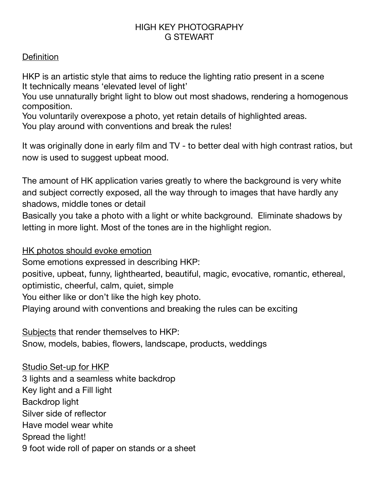## HIGH KEY PHOTOGRAPHY G STEWART

## **Definition**

HKP is an artistic style that aims to reduce the lighting ratio present in a scene It technically means 'elevated level of light'

You use unnaturally bright light to blow out most shadows, rendering a homogenous composition.

You voluntarily overexpose a photo, yet retain details of highlighted areas. You play around with conventions and break the rules!

It was originally done in early film and TV - to better deal with high contrast ratios, but now is used to suggest upbeat mood.

The amount of HK application varies greatly to where the background is very white and subject correctly exposed, all the way through to images that have hardly any shadows, middle tones or detail

Basically you take a photo with a light or white background. Eliminate shadows by letting in more light. Most of the tones are in the highlight region.

HK photos should evoke emotion

Some emotions expressed in describing HKP:

positive, upbeat, funny, lighthearted, beautiful, magic, evocative, romantic, ethereal, optimistic, cheerful, calm, quiet, simple

You either like or don't like the high key photo.

Playing around with conventions and breaking the rules can be exciting

Subjects that render themselves to HKP:

Snow, models, babies, flowers, landscape, products, weddings

Studio Set-up for HKP 3 lights and a seamless white backdrop Key light and a Fill light Backdrop light Silver side of reflector Have model wear white Spread the light! 9 foot wide roll of paper on stands or a sheet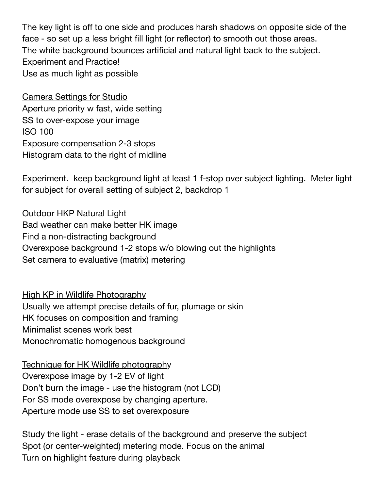The key light is off to one side and produces harsh shadows on opposite side of the face - so set up a less bright fill light (or reflector) to smooth out those areas. The white background bounces artificial and natural light back to the subject. Experiment and Practice! Use as much light as possible

Camera Settings for Studio Aperture priority w fast, wide setting SS to over-expose your image ISO 100 Exposure compensation 2-3 stops Histogram data to the right of midline

Experiment. keep background light at least 1 f-stop over subject lighting. Meter light for subject for overall setting of subject 2, backdrop 1

Outdoor HKP Natural Light Bad weather can make better HK image Find a non-distracting background Overexpose background 1-2 stops w/o blowing out the highlights Set camera to evaluative (matrix) metering

High KP in Wildlife Photography Usually we attempt precise details of fur, plumage or skin HK focuses on composition and framing Minimalist scenes work best Monochromatic homogenous background

Technique for HK Wildlife photography Overexpose image by 1-2 EV of light Don't burn the image - use the histogram (not LCD) For SS mode overexpose by changing aperture. Aperture mode use SS to set overexposure

Study the light - erase details of the background and preserve the subject Spot (or center-weighted) metering mode. Focus on the animal Turn on highlight feature during playback